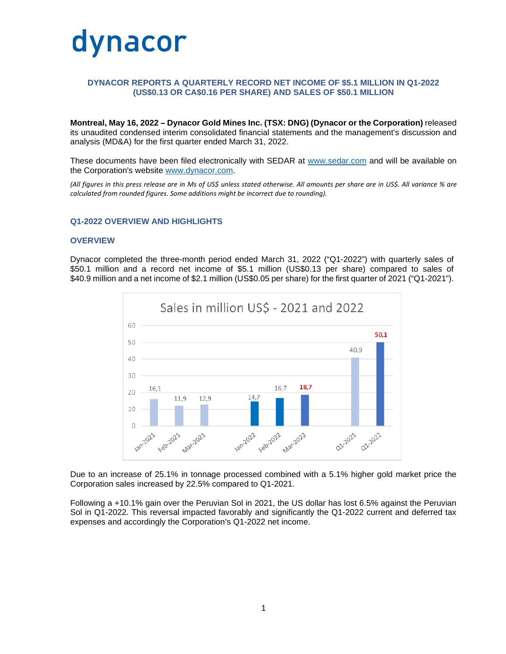

# **DYNACOR REPORTS A QUARTERLY RECORD NET INCOME OF \$5.1 MILLION IN Q1-2022 (US\$0.13 OR CA\$0.16 PER SHARE) AND SALES OF \$50.1 MILLION**

**Montreal, May 16, 2022 – Dynacor Gold Mines Inc. (TSX: DNG) (Dynacor or the Corporation)** released its unaudited condensed interim consolidated financial statements and the management's discussion and analysis (MD&A) for the first quarter ended March 31, 2022.

These documents have been filed electronically with SEDAR at [www.sedar.com](http://www.sedar.com/) and will be available on the Corporation's website [www.dynacor.com.](http://www.dynacor.com/)

*(All figures in this press release are in Ms of US\$ unless stated otherwise. All amounts per share are in US\$. All variance % are calculated from rounded figures. Some additions might be incorrect due to rounding).*

#### **Q1-2022 OVERVIEW AND HIGHLIGHTS**

#### **OVERVIEW**

Dynacor completed the three-month period ended March 31, 2022 ("Q1-2022") with quarterly sales of \$50.1 million and a record net income of \$5.1 million (US\$0.13 per share) compared to sales of \$40.9 million and a net income of \$2.1 million (US\$0.05 per share) for the first quarter of 2021 ("Q1-2021").



Due to an increase of 25.1% in tonnage processed combined with a 5.1% higher gold market price the Corporation sales increased by 22.5% compared to Q1-2021.

Following a +10.1% gain over the Peruvian Sol in 2021, the US dollar has lost 6.5% against the Peruvian Sol in Q1-2022. This reversal impacted favorably and significantly the Q1-2022 current and deferred tax expenses and accordingly the Corporation's Q1-2022 net income.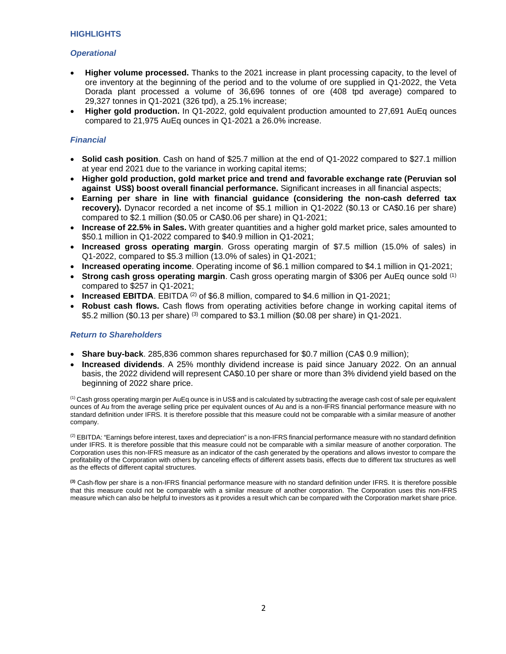# **HIGHLIGHTS**

# *Operational*

- **Higher volume processed.** Thanks to the 2021 increase in plant processing capacity, to the level of ore inventory at the beginning of the period and to the volume of ore supplied in Q1-2022, the Veta Dorada plant processed a volume of 36,696 tonnes of ore (408 tpd average) compared to 29,327 tonnes in Q1-2021 (326 tpd), a 25.1% increase;
- **Higher gold production.** In Q1-2022, gold equivalent production amounted to 27,691 AuEq ounces compared to 21,975 AuEq ounces in Q1-2021 a 26.0% increase.

# *Financial*

- **Solid cash position**. Cash on hand of \$25.7 million at the end of Q1-2022 compared to \$27.1 million at year end 2021 due to the variance in working capital items;
- **Higher gold production, gold market price and trend and favorable exchange rate (Peruvian sol against US\$) boost overall financial performance.** Significant increases in all financial aspects;
- **Earning per share in line with financial guidance (considering the non-cash deferred tax recovery).** Dynacor recorded a net income of \$5.1 million in Q1-2022 (\$0.13 or CA\$0.16 per share) compared to \$2.1 million (\$0.05 or CA\$0.06 per share) in Q1-2021;
- **Increase of 22.5% in Sales.** With greater quantities and a higher gold market price, sales amounted to \$50.1 million in Q1-2022 compared to \$40.9 million in Q1-2021;
- **Increased gross operating margin**. Gross operating margin of \$7.5 million (15.0% of sales) in Q1-2022, compared to \$5.3 million (13.0% of sales) in Q1-2021;
- **Increased operating income**. Operating income of \$6.1 million compared to \$4.1 million in Q1-2021;
- **Strong cash gross operating margin**. Cash gross operating margin of \$306 per AuEq ounce sold (1) compared to \$257 in Q1-2021;
- **Increased EBITDA**. EBITDA<sup>(2)</sup> of \$6.8 million, compared to \$4.6 million in Q1-2021;
- **Robust cash flows.** Cash flows from operating activities before change in working capital items of \$5.2 million (\$0.13 per share) (3) compared to \$3.1 million (\$0.08 per share) in Q1-2021.

## *Return to Shareholders*

- **Share buy-back**. 285,836 common shares repurchased for \$0.7 million (CA\$ 0.9 million);
- **Increased dividends**. A 25% monthly dividend increase is paid since January 2022. On an annual basis, the 2022 dividend will represent CA\$0.10 per share or more than 3% dividend yield based on the beginning of 2022 share price.

 $<sup>(1)</sup>$  Cash gross operating margin per AuEq ounce is in US\$ and is calculated by subtracting the average cash cost of sale per equivalent</sup> ounces of Au from the average selling price per equivalent ounces of Au and is a non-IFRS financial performance measure with no standard definition under IFRS. It is therefore possible that this measure could not be comparable with a similar measure of another company.

 $<sup>(2)</sup>$  EBITDA: "Earnings before interest, taxes and depreciation" is a non-IFRS financial performance measure with no standard definition</sup> under IFRS. It is therefore possible that this measure could not be comparable with a similar measure of another corporation. The Corporation uses this non-IFRS measure as an indicator of the cash generated by the operations and allows investor to compare the profitability of the Corporation with others by canceling effects of different assets basis, effects due to different tax structures as well as the effects of different capital structures.

**(3)** Cash-flow per share is a non-IFRS financial performance measure with no standard definition under IFRS. It is therefore possible that this measure could not be comparable with a similar measure of another corporation. The Corporation uses this non-IFRS measure which can also be helpful to investors as it provides a result which can be compared with the Corporation market share price.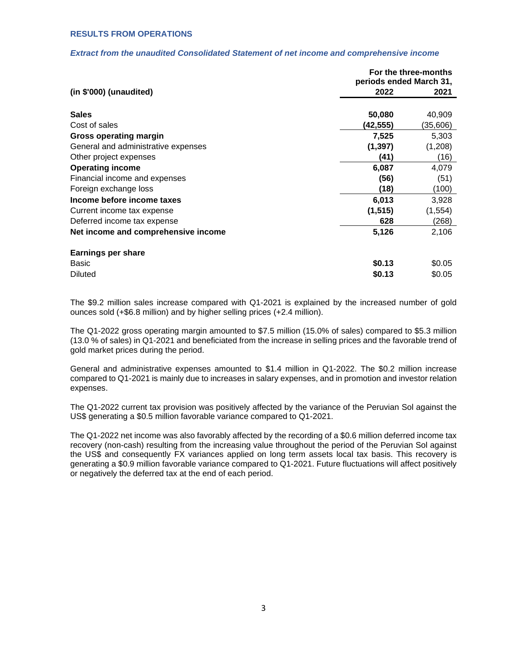### **RESULTS FROM OPERATIONS**

### *Extract from the unaudited Consolidated Statement of net income and comprehensive income*

|                                     | For the three-months<br>periods ended March 31, |          |
|-------------------------------------|-------------------------------------------------|----------|
|                                     |                                                 |          |
| $(in $'000)$ (unaudited)            | 2022                                            | 2021     |
| <b>Sales</b>                        |                                                 |          |
|                                     | 50,080                                          | 40,909   |
| Cost of sales                       | (42,555)                                        | (35,606) |
| Gross operating margin              | 7,525                                           | 5,303    |
| General and administrative expenses | (1, 397)                                        | (1,208)  |
| Other project expenses              | (41)                                            | (16)     |
| <b>Operating income</b>             | 6,087                                           | 4,079    |
| Financial income and expenses       | (56)                                            | (51)     |
| Foreign exchange loss               | (18)                                            | (100)    |
| Income before income taxes          | 6,013                                           | 3,928    |
| Current income tax expense          | (1, 515)                                        | (1, 554) |
| Deferred income tax expense         | 628                                             | (268)    |
| Net income and comprehensive income | 5,126                                           | 2,106    |
| <b>Earnings per share</b>           |                                                 |          |
| Basic                               | \$0.13                                          | \$0.05   |
| <b>Diluted</b>                      | \$0.13                                          | \$0.05   |

The \$9.2 million sales increase compared with Q1-2021 is explained by the increased number of gold ounces sold (+\$6.8 million) and by higher selling prices (+2.4 million).

The Q1-2022 gross operating margin amounted to \$7.5 million (15.0% of sales) compared to \$5.3 million (13.0 % of sales) in Q1-2021 and beneficiated from the increase in selling prices and the favorable trend of gold market prices during the period.

General and administrative expenses amounted to \$1.4 million in Q1-2022. The \$0.2 million increase compared to Q1-2021 is mainly due to increases in salary expenses, and in promotion and investor relation expenses.

The Q1-2022 current tax provision was positively affected by the variance of the Peruvian Sol against the US\$ generating a \$0.5 million favorable variance compared to Q1-2021.

The Q1-2022 net income was also favorably affected by the recording of a \$0.6 million deferred income tax recovery (non-cash) resulting from the increasing value throughout the period of the Peruvian Sol against the US\$ and consequently FX variances applied on long term assets local tax basis. This recovery is generating a \$0.9 million favorable variance compared to Q1-2021. Future fluctuations will affect positively or negatively the deferred tax at the end of each period.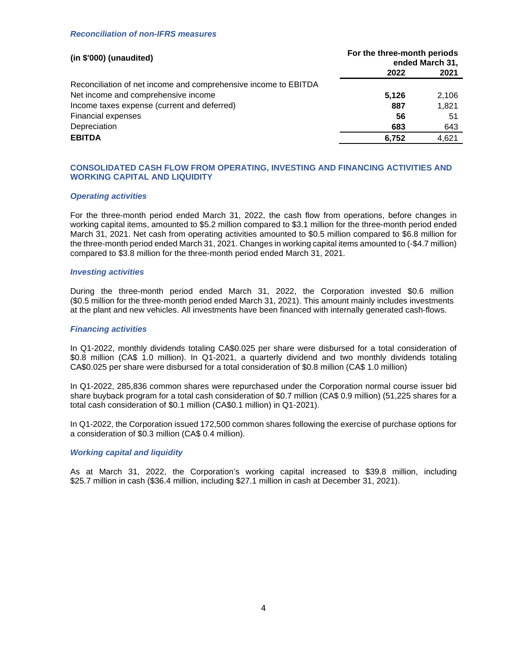## *Reconciliation of non-IFRS measures*

| $(in $'000)$ (unaudited)                                        | For the three-month periods<br>ended March 31, |       |
|-----------------------------------------------------------------|------------------------------------------------|-------|
|                                                                 | 2022                                           | 2021  |
| Reconciliation of net income and comprehensive income to EBITDA |                                                |       |
| Net income and comprehensive income                             | 5.126                                          | 2,106 |
| Income taxes expense (current and deferred)                     | 887                                            | 1.821 |
| <b>Financial expenses</b>                                       | 56                                             | 51    |
| Depreciation                                                    | 683                                            | 643   |
| <b>EBITDA</b>                                                   | 6,752                                          | 4.621 |

# **CONSOLIDATED CASH FLOW FROM OPERATING, INVESTING AND FINANCING ACTIVITIES AND WORKING CAPITAL AND LIQUIDITY**

### *Operating activities*

For the three-month period ended March 31, 2022, the cash flow from operations, before changes in working capital items, amounted to \$5.2 million compared to \$3.1 million for the three-month period ended March 31, 2021. Net cash from operating activities amounted to \$0.5 million compared to \$6.8 million for the three-month period ended March 31, 2021. Changes in working capital items amounted to (-\$4.7 million) compared to \$3.8 million for the three-month period ended March 31, 2021.

#### *Investing activities*

During the three-month period ended March 31, 2022, the Corporation invested \$0.6 million (\$0.5 million for the three-month period ended March 31, 2021). This amount mainly includes investments at the plant and new vehicles. All investments have been financed with internally generated cash-flows.

#### *Financing activities*

In Q1-2022, monthly dividends totaling CA\$0.025 per share were disbursed for a total consideration of \$0.8 million (CA\$ 1.0 million). In Q1-2021, a quarterly dividend and two monthly dividends totaling CA\$0.025 per share were disbursed for a total consideration of \$0.8 million (CA\$ 1.0 million)

In Q1-2022, 285,836 common shares were repurchased under the Corporation normal course issuer bid share buyback program for a total cash consideration of \$0.7 million (CA\$ 0.9 million) (51,225 shares for a total cash consideration of \$0.1 million (CA\$0.1 million) in Q1-2021).

In Q1-2022, the Corporation issued 172,500 common shares following the exercise of purchase options for a consideration of \$0.3 million (CA\$ 0.4 million).

## *Working capital and liquidity*

As at March 31, 2022, the Corporation's working capital increased to \$39.8 million, including \$25.7 million in cash (\$36.4 million, including \$27.1 million in cash at December 31, 2021).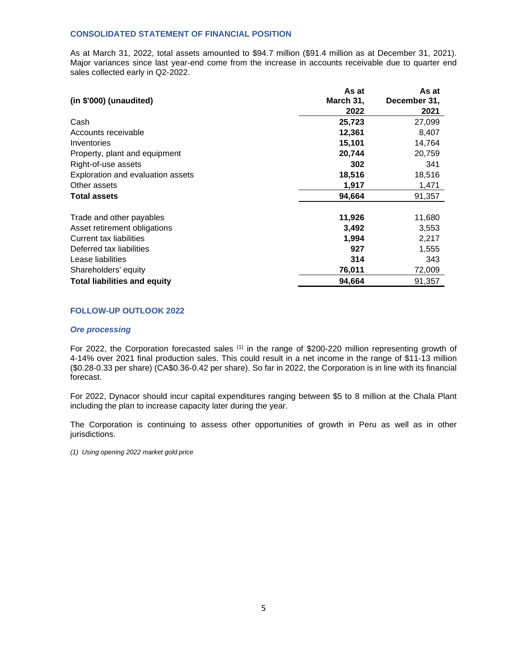## **CONSOLIDATED STATEMENT OF FINANCIAL POSITION**

As at March 31, 2022, total assets amounted to \$94.7 million (\$91.4 million as at December 31, 2021). Major variances since last year-end come from the increase in accounts receivable due to quarter end sales collected early in Q2-2022.

|                                     | As at     | As at        |
|-------------------------------------|-----------|--------------|
| $(in $'000)$ (unaudited)            | March 31, | December 31, |
|                                     | 2022      | 2021         |
| Cash                                | 25,723    | 27,099       |
| Accounts receivable                 | 12,361    | 8,407        |
| Inventories                         | 15,101    | 14,764       |
| Property, plant and equipment       | 20,744    | 20,759       |
| Right-of-use assets                 | 302       | 341          |
| Exploration and evaluation assets   | 18,516    | 18,516       |
| Other assets                        | 1,917     | 1,471        |
| <b>Total assets</b>                 | 94,664    | 91,357       |
| Trade and other payables            | 11,926    | 11,680       |
| Asset retirement obligations        | 3,492     | 3,553        |
| Current tax liabilities             | 1,994     | 2,217        |
| Deferred tax liabilities            | 927       | 1,555        |
| Lease liabilities                   | 314       | 343          |
| Shareholders' equity                | 76,011    | 72,009       |
| <b>Total liabilities and equity</b> | 94,664    | 91,357       |

# **FOLLOW-UP OUTLOOK 2022**

#### *Ore processing*

For 2022, the Corporation forecasted sales (1) in the range of \$200-220 million representing growth of 4-14% over 2021 final production sales. This could result in a net income in the range of \$11-13 million (\$0.28-0.33 per share) (CA\$0.36-0.42 per share). So far in 2022, the Corporation is in line with its financial forecast.

For 2022, Dynacor should incur capital expenditures ranging between \$5 to 8 million at the Chala Plant including the plan to increase capacity later during the year.

The Corporation is continuing to assess other opportunities of growth in Peru as well as in other jurisdictions.

*(1) Using opening 2022 market gold price*